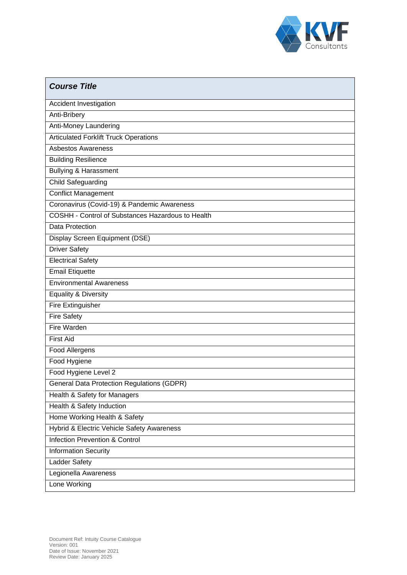

| <b>Course Title</b>                               |
|---------------------------------------------------|
| Accident Investigation                            |
| Anti-Bribery                                      |
| Anti-Money Laundering                             |
| <b>Articulated Forklift Truck Operations</b>      |
| <b>Asbestos Awareness</b>                         |
| <b>Building Resilience</b>                        |
| <b>Bullying &amp; Harassment</b>                  |
| <b>Child Safeguarding</b>                         |
| <b>Conflict Management</b>                        |
| Coronavirus (Covid-19) & Pandemic Awareness       |
| COSHH - Control of Substances Hazardous to Health |
| <b>Data Protection</b>                            |
| Display Screen Equipment (DSE)                    |
| <b>Driver Safety</b>                              |
| <b>Electrical Safety</b>                          |
| <b>Email Etiquette</b>                            |
| <b>Environmental Awareness</b>                    |
| <b>Equality &amp; Diversity</b>                   |
| Fire Extinguisher                                 |
| <b>Fire Safety</b>                                |
| Fire Warden                                       |
| <b>First Aid</b>                                  |
| Food Allergens                                    |
| Food Hygiene                                      |
| Food Hygiene Level 2                              |
| General Data Protection Regulations (GDPR)        |
| Health & Safety for Managers                      |
| Health & Safety Induction                         |
| Home Working Health & Safety                      |
| Hybrid & Electric Vehicle Safety Awareness        |
| Infection Prevention & Control                    |
| <b>Information Security</b>                       |
| Ladder Safety                                     |
| Legionella Awareness                              |
| Lone Working                                      |